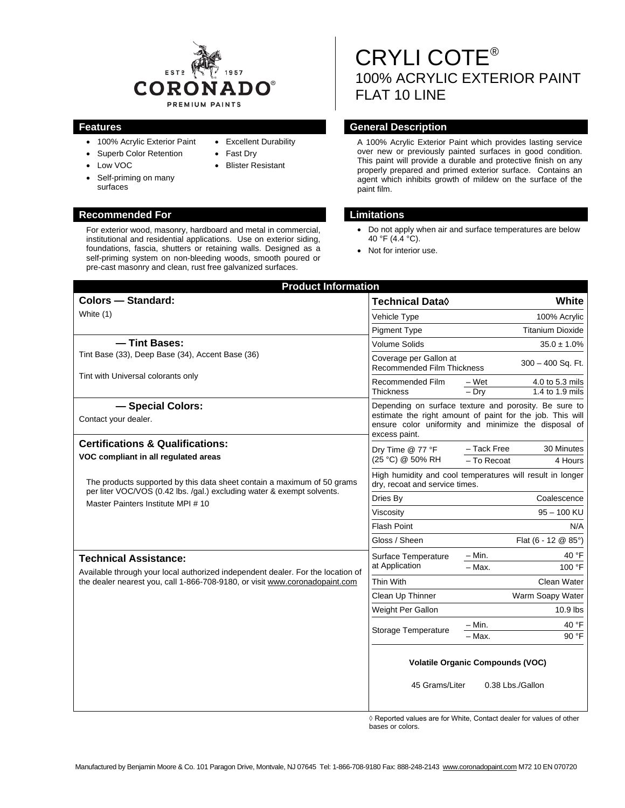

• Excellent Durability

• Fast Dry • Blister Resistant

- 100% Acrylic Exterior Paint
- Superb Color Retention
- Low VOC
- Self-priming on many surfaces

#### **Recommended For Limitations**

For exterior wood, masonry, hardboard and metal in commercial, institutional and residential applications. Use on exterior siding, foundations, fascia, shutters or retaining walls. Designed as a self-priming system on non-bleeding woods, smooth poured or pre-cast masonry and clean, rust free galvanized surfaces.

# CRYLI COTE® 100% ACRYLIC EXTERIOR PAINT FLAT 10 LINE

# **Features General Description**

A 100% Acrylic Exterior Paint which provides lasting service over new or previously painted surfaces in good condition. This paint will provide a durable and protective finish on any properly prepared and primed exterior surface. Contains an agent which inhibits growth of mildew on the surface of the paint film.

- Do not apply when air and surface temperatures are below 40 °F (4.4 °C).
- Not for interior use.

| <b>Product Information</b>                                                                                                                                                                     |                                                                                                                                                                                             |                                                        |
|------------------------------------------------------------------------------------------------------------------------------------------------------------------------------------------------|---------------------------------------------------------------------------------------------------------------------------------------------------------------------------------------------|--------------------------------------------------------|
| <b>Colors - Standard:</b>                                                                                                                                                                      | Technical Data $\lozenge$                                                                                                                                                                   | White                                                  |
| White (1)                                                                                                                                                                                      | Vehicle Type                                                                                                                                                                                | 100% Acrylic                                           |
|                                                                                                                                                                                                | <b>Pigment Type</b>                                                                                                                                                                         | <b>Titanium Dioxide</b>                                |
| - Tint Bases:                                                                                                                                                                                  | <b>Volume Solids</b>                                                                                                                                                                        | $35.0 \pm 1.0\%$                                       |
| Tint Base (33), Deep Base (34), Accent Base (36)                                                                                                                                               | Coverage per Gallon at<br>Recommended Film Thickness                                                                                                                                        | 300 - 400 Sq. Ft.                                      |
| Tint with Universal colorants only                                                                                                                                                             | Recommended Film<br><b>Thickness</b>                                                                                                                                                        | – Wet<br>4.0 to 5.3 mils<br>$-$ Dry<br>1.4 to 1.9 mils |
| - Special Colors:<br>Contact your dealer.                                                                                                                                                      | Depending on surface texture and porosity. Be sure to<br>estimate the right amount of paint for the job. This will<br>ensure color uniformity and minimize the disposal of<br>excess paint. |                                                        |
| <b>Certifications &amp; Qualifications:</b><br>VOC compliant in all regulated areas                                                                                                            | Dry Time @ 77 °F<br>(25 °C) @ 50% RH                                                                                                                                                        | - Tack Free<br>30 Minutes<br>- To Recoat<br>4 Hours    |
| The products supported by this data sheet contain a maximum of 50 grams                                                                                                                        | High humidity and cool temperatures will result in longer<br>dry, recoat and service times.                                                                                                 |                                                        |
| per liter VOC/VOS (0.42 lbs. /gal.) excluding water & exempt solvents.<br>Master Painters Institute MPI # 10                                                                                   | Dries By                                                                                                                                                                                    | Coalescence                                            |
|                                                                                                                                                                                                | Viscosity                                                                                                                                                                                   | $95 - 100$ KU                                          |
|                                                                                                                                                                                                | <b>Flash Point</b>                                                                                                                                                                          | N/A                                                    |
|                                                                                                                                                                                                | Gloss / Sheen                                                                                                                                                                               | Flat $(6 - 12 \& 85^{\circ})$                          |
| <b>Technical Assistance:</b><br>Available through your local authorized independent dealer. For the location of<br>the dealer nearest you, call 1-866-708-9180, or visit www.coronadopaint.com | Surface Temperature<br>at Application                                                                                                                                                       | – Min.<br>40 °F                                        |
|                                                                                                                                                                                                |                                                                                                                                                                                             | $-$ Max.<br>100 °F                                     |
|                                                                                                                                                                                                | Thin With                                                                                                                                                                                   | <b>Clean Water</b>                                     |
|                                                                                                                                                                                                | Clean Up Thinner                                                                                                                                                                            | Warm Soapy Water                                       |
|                                                                                                                                                                                                | Weight Per Gallon                                                                                                                                                                           | $10.9$ lbs                                             |
|                                                                                                                                                                                                | Storage Temperature                                                                                                                                                                         | 40 °F<br>– Min.<br>90 °F<br>- Max.                     |
|                                                                                                                                                                                                | <b>Volatile Organic Compounds (VOC)</b><br>45 Grams/Liter<br>0.38 Lbs./Gallon                                                                                                               |                                                        |

 $\Diamond$  Reported values are for White, Contact dealer for values of other bases or colors.